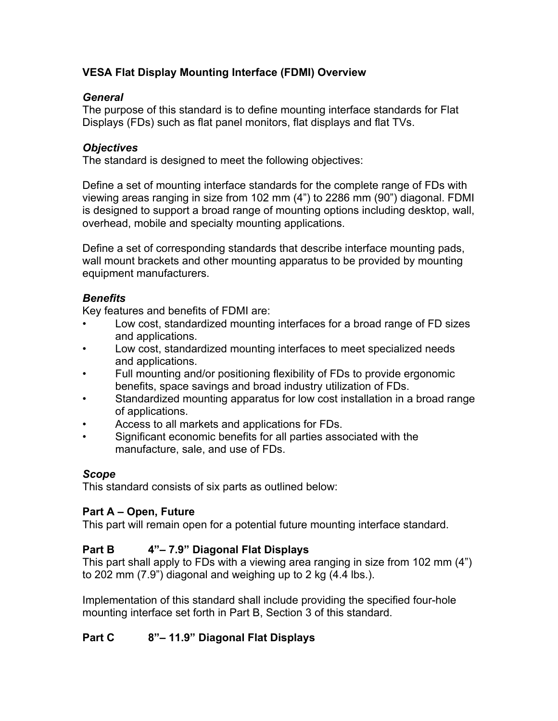# **VESA Flat Display Mounting Interface (FDMI) Overview**

#### *General*

The purpose of this standard is to define mounting interface standards for Flat Displays (FDs) such as flat panel monitors, flat displays and flat TVs.

#### *Objectives*

The standard is designed to meet the following objectives:

Define a set of mounting interface standards for the complete range of FDs with viewing areas ranging in size from 102 mm (4") to 2286 mm (90") diagonal. FDMI is designed to support a broad range of mounting options including desktop, wall, overhead, mobile and specialty mounting applications.

Define a set of corresponding standards that describe interface mounting pads, wall mount brackets and other mounting apparatus to be provided by mounting equipment manufacturers.

#### *Benefits*

Key features and benefits of FDMI are:

- Low cost, standardized mounting interfaces for a broad range of FD sizes and applications.
- Low cost, standardized mounting interfaces to meet specialized needs and applications.
- Full mounting and/or positioning flexibility of FDs to provide ergonomic benefits, space savings and broad industry utilization of FDs.
- Standardized mounting apparatus for low cost installation in a broad range of applications.
- Access to all markets and applications for FDs.
- Significant economic benefits for all parties associated with the manufacture, sale, and use of FDs.

## *Scope*

This standard consists of six parts as outlined below:

## **Part A – Open, Future**

This part will remain open for a potential future mounting interface standard.

## **Part B 4"– 7.9" Diagonal Flat Displays**

This part shall apply to FDs with a viewing area ranging in size from 102 mm (4") to 202 mm (7.9") diagonal and weighing up to 2 kg (4.4 lbs.).

Implementation of this standard shall include providing the specified four-hole mounting interface set forth in Part B, Section 3 of this standard.

# **Part C 8"– 11.9" Diagonal Flat Displays**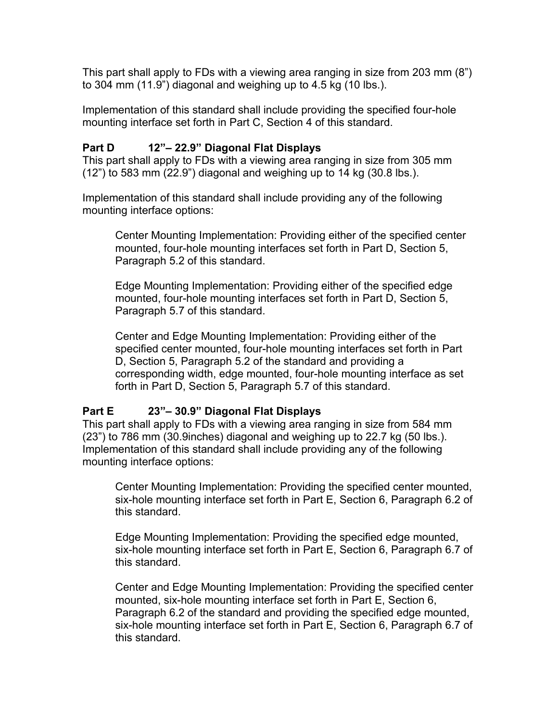This part shall apply to FDs with a viewing area ranging in size from 203 mm (8") to 304 mm (11.9") diagonal and weighing up to 4.5 kg (10 lbs.).

Implementation of this standard shall include providing the specified four-hole mounting interface set forth in Part C, Section 4 of this standard.

## **Part D 12"– 22.9" Diagonal Flat Displays**

This part shall apply to FDs with a viewing area ranging in size from 305 mm (12") to 583 mm (22.9") diagonal and weighing up to 14 kg (30.8 lbs.).

Implementation of this standard shall include providing any of the following mounting interface options:

Center Mounting Implementation: Providing either of the specified center mounted, four-hole mounting interfaces set forth in Part D, Section 5, Paragraph 5.2 of this standard.

Edge Mounting Implementation: Providing either of the specified edge mounted, four-hole mounting interfaces set forth in Part D, Section 5, Paragraph 5.7 of this standard.

Center and Edge Mounting Implementation: Providing either of the specified center mounted, four-hole mounting interfaces set forth in Part D, Section 5, Paragraph 5.2 of the standard and providing a corresponding width, edge mounted, four-hole mounting interface as set forth in Part D, Section 5, Paragraph 5.7 of this standard.

## **Part E 23"– 30.9" Diagonal Flat Displays**

This part shall apply to FDs with a viewing area ranging in size from 584 mm (23") to 786 mm (30.9inches) diagonal and weighing up to 22.7 kg (50 lbs.). Implementation of this standard shall include providing any of the following mounting interface options:

Center Mounting Implementation: Providing the specified center mounted, six-hole mounting interface set forth in Part E, Section 6, Paragraph 6.2 of this standard.

Edge Mounting Implementation: Providing the specified edge mounted, six-hole mounting interface set forth in Part E, Section 6, Paragraph 6.7 of this standard.

Center and Edge Mounting Implementation: Providing the specified center mounted, six-hole mounting interface set forth in Part E, Section 6, Paragraph 6.2 of the standard and providing the specified edge mounted, six-hole mounting interface set forth in Part E, Section 6, Paragraph 6.7 of this standard.